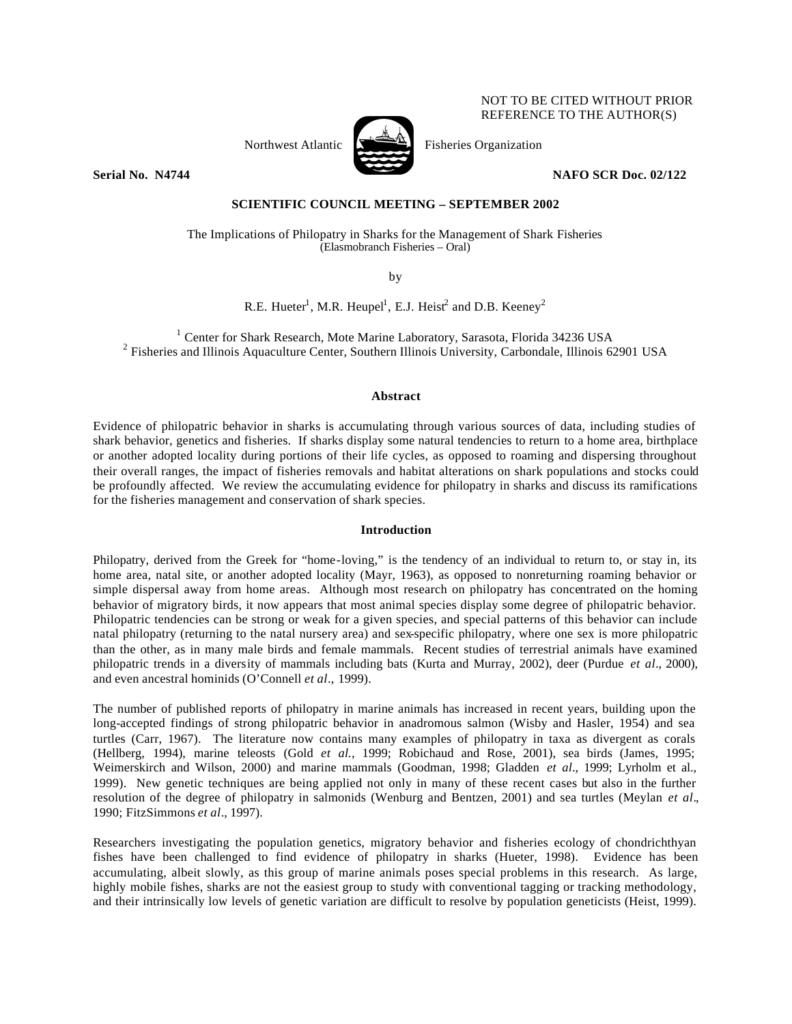

NOT TO BE CITED WITHOUT PRIOR REFERENCE TO THE AUTHOR(S)

**Serial No. N4744 NAFO SCR Doc. 02/122** 

# **SCIENTIFIC COUNCIL MEETING – SEPTEMBER 2002**

The Implications of Philopatry in Sharks for the Management of Shark Fisheries (Elasmobranch Fisheries – Oral)

by

R.E. Hueter<sup>1</sup>, M.R. Heupel<sup>1</sup>, E.J. Heist<sup>2</sup> and D.B. Keeney<sup>2</sup>

<sup>1</sup> Center for Shark Research, Mote Marine Laboratory, Sarasota, Florida 34236 USA <sup>2</sup> Fisheries and Illinois Aquaculture Center, Southern Illinois University, Carbondale, Illinois 62901 USA

# **Abstract**

Evidence of philopatric behavior in sharks is accumulating through various sources of data, including studies of shark behavior, genetics and fisheries. If sharks display some natural tendencies to return to a home area, birthplace or another adopted locality during portions of their life cycles, as opposed to roaming and dispersing throughout their overall ranges, the impact of fisheries removals and habitat alterations on shark populations and stocks could be profoundly affected. We review the accumulating evidence for philopatry in sharks and discuss its ramifications for the fisheries management and conservation of shark species.

# **Introduction**

Philopatry, derived from the Greek for "home-loving," is the tendency of an individual to return to, or stay in, its home area, natal site, or another adopted locality (Mayr, 1963), as opposed to nonreturning roaming behavior or simple dispersal away from home areas. Although most research on philopatry has concentrated on the homing behavior of migratory birds, it now appears that most animal species display some degree of philopatric behavior. Philopatric tendencies can be strong or weak for a given species, and special patterns of this behavior can include natal philopatry (returning to the natal nursery area) and sex-specific philopatry, where one sex is more philopatric than the other, as in many male birds and female mammals. Recent studies of terrestrial animals have examined philopatric trends in a diversity of mammals including bats (Kurta and Murray, 2002), deer (Purdue *et al*., 2000), and even ancestral hominids (O'Connell *et al*., 1999).

The number of published reports of philopatry in marine animals has increased in recent years, building upon the long-accepted findings of strong philopatric behavior in anadromous salmon (Wisby and Hasler, 1954) and sea turtles (Carr, 1967). The literature now contains many examples of philopatry in taxa as divergent as corals (Hellberg, 1994), marine teleosts (Gold *et al.,* 1999; Robichaud and Rose, 2001), sea birds (James, 1995; Weimerskirch and Wilson, 2000) and marine mammals (Goodman, 1998; Gladden *et al*., 1999; Lyrholm et al., 1999). New genetic techniques are being applied not only in many of these recent cases but also in the further resolution of the degree of philopatry in salmonids (Wenburg and Bentzen, 2001) and sea turtles (Meylan *et al*., 1990; FitzSimmons *et al*., 1997).

Researchers investigating the population genetics, migratory behavior and fisheries ecology of chondrichthyan fishes have been challenged to find evidence of philopatry in sharks (Hueter, 1998). Evidence has been accumulating, albeit slowly, as this group of marine animals poses special problems in this research. As large, highly mobile fishes, sharks are not the easiest group to study with conventional tagging or tracking methodology, and their intrinsically low levels of genetic variation are difficult to resolve by population geneticists (Heist, 1999).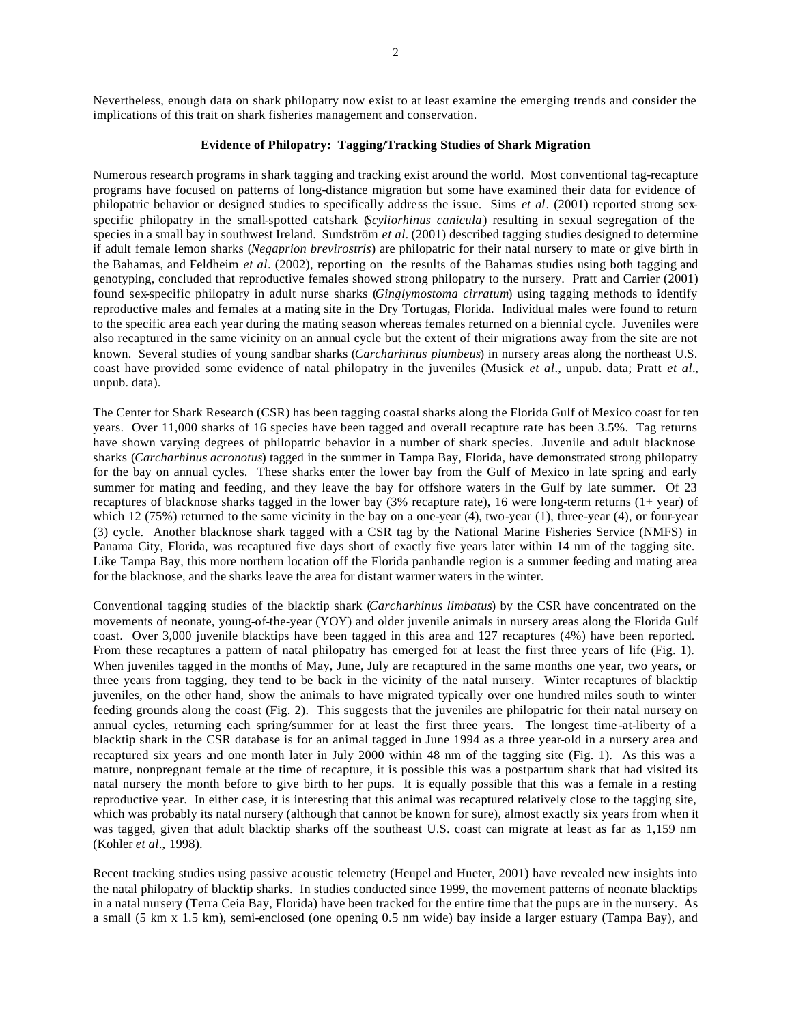Nevertheless, enough data on shark philopatry now exist to at least examine the emerging trends and consider the implications of this trait on shark fisheries management and conservation.

# **Evidence of Philopatry: Tagging/Tracking Studies of Shark Migration**

Numerous research programs in shark tagging and tracking exist around the world. Most conventional tag-recapture programs have focused on patterns of long-distance migration but some have examined their data for evidence of philopatric behavior or designed studies to specifically address the issue. Sims *et al*. (2001) reported strong sexspecific philopatry in the small-spotted catshark (*Scyliorhinus canicula*) resulting in sexual segregation of the species in a small bay in southwest Ireland. Sundström *et al.* (2001) described tagging studies designed to determine if adult female lemon sharks (*Negaprion brevirostris*) are philopatric for their natal nursery to mate or give birth in the Bahamas, and Feldheim *et al*. (2002), reporting on the results of the Bahamas studies using both tagging and genotyping, concluded that reproductive females showed strong philopatry to the nursery. Pratt and Carrier (2001) found sex-specific philopatry in adult nurse sharks (*Ginglymostoma cirratum*) using tagging methods to identify reproductive males and females at a mating site in the Dry Tortugas, Florida. Individual males were found to return to the specific area each year during the mating season whereas females returned on a biennial cycle. Juveniles were also recaptured in the same vicinity on an annual cycle but the extent of their migrations away from the site are not known. Several studies of young sandbar sharks (*Carcharhinus plumbeus*) in nursery areas along the northeast U.S. coast have provided some evidence of natal philopatry in the juveniles (Musick *et al*., unpub. data; Pratt *et al*., unpub. data).

The Center for Shark Research (CSR) has been tagging coastal sharks along the Florida Gulf of Mexico coast for ten years. Over 11,000 sharks of 16 species have been tagged and overall recapture rate has been 3.5%. Tag returns have shown varying degrees of philopatric behavior in a number of shark species. Juvenile and adult blacknose sharks (*Carcharhinus acronotus*) tagged in the summer in Tampa Bay, Florida, have demonstrated strong philopatry for the bay on annual cycles. These sharks enter the lower bay from the Gulf of Mexico in late spring and early summer for mating and feeding, and they leave the bay for offshore waters in the Gulf by late summer. Of 23 recaptures of blacknose sharks tagged in the lower bay (3% recapture rate), 16 were long-term returns (1+ year) of which  $12$  (75%) returned to the same vicinity in the bay on a one-year (4), two-year (1), three-year (4), or four-year (3) cycle. Another blacknose shark tagged with a CSR tag by the National Marine Fisheries Service (NMFS) in Panama City, Florida, was recaptured five days short of exactly five years later within 14 nm of the tagging site. Like Tampa Bay, this more northern location off the Florida panhandle region is a summer feeding and mating area for the blacknose, and the sharks leave the area for distant warmer waters in the winter.

Conventional tagging studies of the blacktip shark (*Carcharhinus limbatus*) by the CSR have concentrated on the movements of neonate, young-of-the-year (YOY) and older juvenile animals in nursery areas along the Florida Gulf coast. Over 3,000 juvenile blacktips have been tagged in this area and 127 recaptures (4%) have been reported. From these recaptures a pattern of natal philopatry has emerged for at least the first three years of life (Fig. 1). When juveniles tagged in the months of May, June, July are recaptured in the same months one year, two years, or three years from tagging, they tend to be back in the vicinity of the natal nursery. Winter recaptures of blacktip juveniles, on the other hand, show the animals to have migrated typically over one hundred miles south to winter feeding grounds along the coast (Fig. 2). This suggests that the juveniles are philopatric for their natal nursery on annual cycles, returning each spring/summer for at least the first three years. The longest time -at-liberty of a blacktip shark in the CSR database is for an animal tagged in June 1994 as a three year-old in a nursery area and recaptured six years and one month later in July 2000 within 48 nm of the tagging site (Fig. 1). As this was a mature, nonpregnant female at the time of recapture, it is possible this was a postpartum shark that had visited its natal nursery the month before to give birth to her pups. It is equally possible that this was a female in a resting reproductive year. In either case, it is interesting that this animal was recaptured relatively close to the tagging site, which was probably its natal nursery (although that cannot be known for sure), almost exactly six years from when it was tagged, given that adult blacktip sharks off the southeast U.S. coast can migrate at least as far as 1,159 nm (Kohler *et al*., 1998).

Recent tracking studies using passive acoustic telemetry (Heupel and Hueter, 2001) have revealed new insights into the natal philopatry of blacktip sharks. In studies conducted since 1999, the movement patterns of neonate blacktips in a natal nursery (Terra Ceia Bay, Florida) have been tracked for the entire time that the pups are in the nursery. As a small (5 km x 1.5 km), semi-enclosed (one opening 0.5 nm wide) bay inside a larger estuary (Tampa Bay), and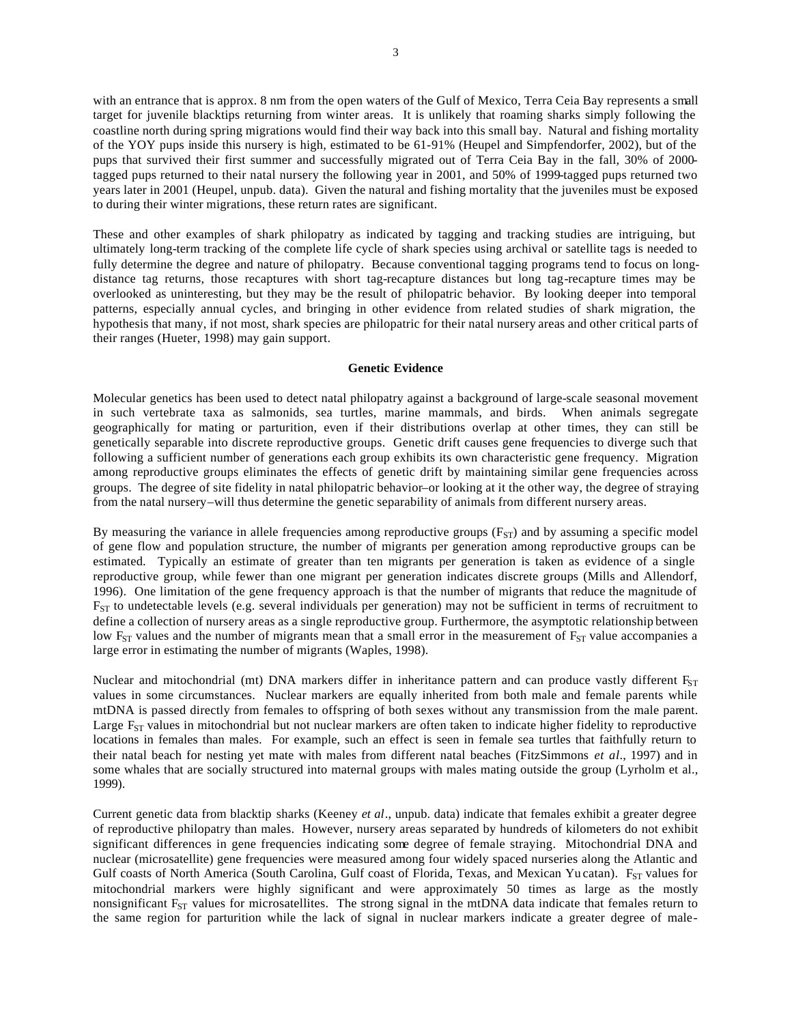with an entrance that is approx. 8 nm from the open waters of the Gulf of Mexico, Terra Ceia Bay represents a small target for juvenile blacktips returning from winter areas. It is unlikely that roaming sharks simply following the coastline north during spring migrations would find their way back into this small bay. Natural and fishing mortality of the YOY pups inside this nursery is high, estimated to be 61-91% (Heupel and Simpfendorfer, 2002), but of the pups that survived their first summer and successfully migrated out of Terra Ceia Bay in the fall, 30% of 2000 tagged pups returned to their natal nursery the following year in 2001, and 50% of 1999-tagged pups returned two years later in 2001 (Heupel, unpub. data). Given the natural and fishing mortality that the juveniles must be exposed to during their winter migrations, these return rates are significant.

These and other examples of shark philopatry as indicated by tagging and tracking studies are intriguing, but ultimately long-term tracking of the complete life cycle of shark species using archival or satellite tags is needed to fully determine the degree and nature of philopatry. Because conventional tagging programs tend to focus on longdistance tag returns, those recaptures with short tag-recapture distances but long tag-recapture times may be overlooked as uninteresting, but they may be the result of philopatric behavior. By looking deeper into temporal patterns, especially annual cycles, and bringing in other evidence from related studies of shark migration, the hypothesis that many, if not most, shark species are philopatric for their natal nursery areas and other critical parts of their ranges (Hueter, 1998) may gain support.

#### **Genetic Evidence**

Molecular genetics has been used to detect natal philopatry against a background of large-scale seasonal movement in such vertebrate taxa as salmonids, sea turtles, marine mammals, and birds. When animals segregate geographically for mating or parturition, even if their distributions overlap at other times, they can still be genetically separable into discrete reproductive groups. Genetic drift causes gene frequencies to diverge such that following a sufficient number of generations each group exhibits its own characteristic gene frequency. Migration among reproductive groups eliminates the effects of genetic drift by maintaining similar gene frequencies across groups. The degree of site fidelity in natal philopatric behavior–or looking at it the other way, the degree of straying from the natal nursery–will thus determine the genetic separability of animals from different nursery areas.

By measuring the variance in allele frequencies among reproductive groups  $(F_{ST})$  and by assuming a specific model of gene flow and population structure, the number of migrants per generation among reproductive groups can be estimated. Typically an estimate of greater than ten migrants per generation is taken as evidence of a single reproductive group, while fewer than one migrant per generation indicates discrete groups (Mills and Allendorf, 1996). One limitation of the gene frequency approach is that the number of migrants that reduce the magnitude of  $F_{ST}$  to undetectable levels (e.g. several individuals per generation) may not be sufficient in terms of recruitment to define a collection of nursery areas as a single reproductive group. Furthermore, the asymptotic relationship between low F<sub>ST</sub> values and the number of migrants mean that a small error in the measurement of  $F_{ST}$  value accompanies a large error in estimating the number of migrants (Waples, 1998).

Nuclear and mitochondrial (mt) DNA markers differ in inheritance pattern and can produce vastly different  $F_{ST}$ values in some circumstances. Nuclear markers are equally inherited from both male and female parents while mtDNA is passed directly from females to offspring of both sexes without any transmission from the male parent. Large  $F_{ST}$  values in mitochondrial but not nuclear markers are often taken to indicate higher fidelity to reproductive locations in females than males. For example, such an effect is seen in female sea turtles that faithfully return to their natal beach for nesting yet mate with males from different natal beaches (FitzSimmons *et al*., 1997) and in some whales that are socially structured into maternal groups with males mating outside the group (Lyrholm et al., 1999).

Current genetic data from blacktip sharks (Keeney *et al*., unpub. data) indicate that females exhibit a greater degree of reproductive philopatry than males. However, nursery areas separated by hundreds of kilometers do not exhibit significant differences in gene frequencies indicating some degree of female straying. Mitochondrial DNA and nuclear (microsatellite) gene frequencies were measured among four widely spaced nurseries along the Atlantic and Gulf coasts of North America (South Carolina, Gulf coast of Florida, Texas, and Mexican Yu catan). F<sub>ST</sub> values for mitochondrial markers were highly significant and were approximately 50 times as large as the mostly nonsignificant  $F_{ST}$  values for microsatellites. The strong signal in the mtDNA data indicate that females return to the same region for parturition while the lack of signal in nuclear markers indicate a greater degree of male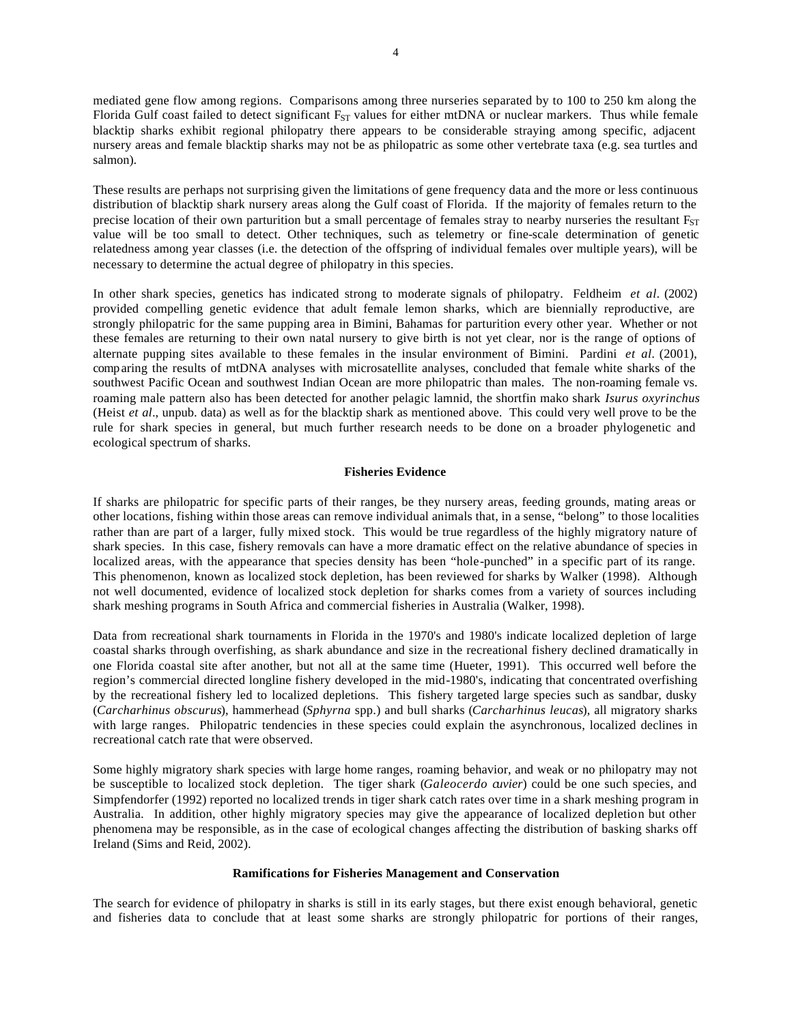mediated gene flow among regions. Comparisons among three nurseries separated by to 100 to 250 km along the Florida Gulf coast failed to detect significant  $F_{ST}$  values for either mtDNA or nuclear markers. Thus while female blacktip sharks exhibit regional philopatry there appears to be considerable straying among specific, adjacent nursery areas and female blacktip sharks may not be as philopatric as some other vertebrate taxa (e.g. sea turtles and salmon).

These results are perhaps not surprising given the limitations of gene frequency data and the more or less continuous distribution of blacktip shark nursery areas along the Gulf coast of Florida. If the majority of females return to the precise location of their own parturition but a small percentage of females stray to nearby nurseries the resultant F<sub>ST</sub> value will be too small to detect. Other techniques, such as telemetry or fine-scale determination of genetic relatedness among year classes (i.e. the detection of the offspring of individual females over multiple years), will be necessary to determine the actual degree of philopatry in this species.

In other shark species, genetics has indicated strong to moderate signals of philopatry. Feldheim *et al.* (2002) provided compelling genetic evidence that adult female lemon sharks, which are biennially reproductive, are strongly philopatric for the same pupping area in Bimini, Bahamas for parturition every other year. Whether or not these females are returning to their own natal nursery to give birth is not yet clear, nor is the range of options of alternate pupping sites available to these females in the insular environment of Bimini. Pardini *et al.* (2001), comparing the results of mtDNA analyses with microsatellite analyses, concluded that female white sharks of the southwest Pacific Ocean and southwest Indian Ocean are more philopatric than males. The non-roaming female vs. roaming male pattern also has been detected for another pelagic lamnid, the shortfin mako shark *Isurus oxyrinchus* (Heist *et al*., unpub. data) as well as for the blacktip shark as mentioned above. This could very well prove to be the rule for shark species in general, but much further research needs to be done on a broader phylogenetic and ecological spectrum of sharks.

## **Fisheries Evidence**

If sharks are philopatric for specific parts of their ranges, be they nursery areas, feeding grounds, mating areas or other locations, fishing within those areas can remove individual animals that, in a sense, "belong" to those localities rather than are part of a larger, fully mixed stock. This would be true regardless of the highly migratory nature of shark species. In this case, fishery removals can have a more dramatic effect on the relative abundance of species in localized areas, with the appearance that species density has been "hole-punched" in a specific part of its range. This phenomenon, known as localized stock depletion, has been reviewed for sharks by Walker (1998). Although not well documented, evidence of localized stock depletion for sharks comes from a variety of sources including shark meshing programs in South Africa and commercial fisheries in Australia (Walker, 1998).

Data from recreational shark tournaments in Florida in the 1970's and 1980's indicate localized depletion of large coastal sharks through overfishing, as shark abundance and size in the recreational fishery declined dramatically in one Florida coastal site after another, but not all at the same time (Hueter, 1991). This occurred well before the region's commercial directed longline fishery developed in the mid-1980's, indicating that concentrated overfishing by the recreational fishery led to localized depletions. This fishery targeted large species such as sandbar, dusky (*Carcharhinus obscurus*), hammerhead (*Sphyrna* spp.) and bull sharks (*Carcharhinus leucas*), all migratory sharks with large ranges. Philopatric tendencies in these species could explain the asynchronous, localized declines in recreational catch rate that were observed.

Some highly migratory shark species with large home ranges, roaming behavior, and weak or no philopatry may not be susceptible to localized stock depletion. The tiger shark (*Galeocerdo cuvier*) could be one such species, and Simpfendorfer (1992) reported no localized trends in tiger shark catch rates over time in a shark meshing program in Australia. In addition, other highly migratory species may give the appearance of localized depletion but other phenomena may be responsible, as in the case of ecological changes affecting the distribution of basking sharks off Ireland (Sims and Reid, 2002).

## **Ramifications for Fisheries Management and Conservation**

The search for evidence of philopatry in sharks is still in its early stages, but there exist enough behavioral, genetic and fisheries data to conclude that at least some sharks are strongly philopatric for portions of their ranges,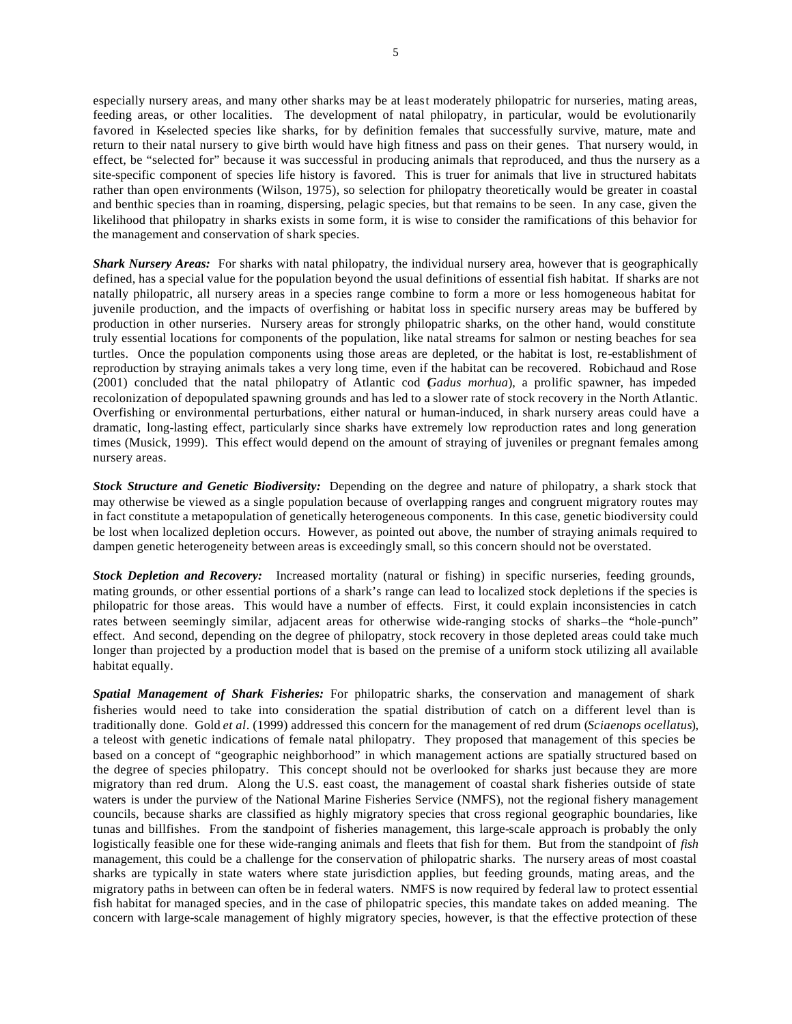especially nursery areas, and many other sharks may be at least moderately philopatric for nurseries, mating areas, feeding areas, or other localities. The development of natal philopatry, in particular, would be evolutionarily favored in K-selected species like sharks, for by definition females that successfully survive, mature, mate and return to their natal nursery to give birth would have high fitness and pass on their genes. That nursery would, in effect, be "selected for" because it was successful in producing animals that reproduced, and thus the nursery as a site-specific component of species life history is favored. This is truer for animals that live in structured habitats rather than open environments (Wilson, 1975), so selection for philopatry theoretically would be greater in coastal and benthic species than in roaming, dispersing, pelagic species, but that remains to be seen. In any case, given the likelihood that philopatry in sharks exists in some form, it is wise to consider the ramifications of this behavior for the management and conservation of shark species.

*Shark Nursery Areas:* For sharks with natal philopatry, the individual nursery area, however that is geographically defined, has a special value for the population beyond the usual definitions of essential fish habitat. If sharks are not natally philopatric, all nursery areas in a species range combine to form a more or less homogeneous habitat for juvenile production, and the impacts of overfishing or habitat loss in specific nursery areas may be buffered by production in other nurseries. Nursery areas for strongly philopatric sharks, on the other hand, would constitute truly essential locations for components of the population, like natal streams for salmon or nesting beaches for sea turtles. Once the population components using those areas are depleted, or the habitat is lost, re-establishment of reproduction by straying animals takes a very long time, even if the habitat can be recovered. Robichaud and Rose (2001) concluded that the natal philopatry of Atlantic cod (*Gadus morhua*), a prolific spawner, has impeded recolonization of depopulated spawning grounds and has led to a slower rate of stock recovery in the North Atlantic. Overfishing or environmental perturbations, either natural or human-induced, in shark nursery areas could have a dramatic, long-lasting effect, particularly since sharks have extremely low reproduction rates and long generation times (Musick, 1999). This effect would depend on the amount of straying of juveniles or pregnant females among nursery areas.

*Stock Structure and Genetic Biodiversity:* Depending on the degree and nature of philopatry, a shark stock that may otherwise be viewed as a single population because of overlapping ranges and congruent migratory routes may in fact constitute a metapopulation of genetically heterogeneous components. In this case, genetic biodiversity could be lost when localized depletion occurs. However, as pointed out above, the number of straying animals required to dampen genetic heterogeneity between areas is exceedingly small, so this concern should not be overstated.

*Stock Depletion and Recovery:* Increased mortality (natural or fishing) in specific nurseries, feeding grounds, mating grounds, or other essential portions of a shark's range can lead to localized stock depletions if the species is philopatric for those areas. This would have a number of effects. First, it could explain inconsistencies in catch rates between seemingly similar, adjacent areas for otherwise wide-ranging stocks of sharks–the "hole-punch" effect. And second, depending on the degree of philopatry, stock recovery in those depleted areas could take much longer than projected by a production model that is based on the premise of a uniform stock utilizing all available habitat equally.

*Spatial Management of Shark Fisheries:* For philopatric sharks, the conservation and management of shark fisheries would need to take into consideration the spatial distribution of catch on a different level than is traditionally done. Gold *et al*. (1999) addressed this concern for the management of red drum (*Sciaenops ocellatus*), a teleost with genetic indications of female natal philopatry. They proposed that management of this species be based on a concept of "geographic neighborhood" in which management actions are spatially structured based on the degree of species philopatry. This concept should not be overlooked for sharks just because they are more migratory than red drum. Along the U.S. east coast, the management of coastal shark fisheries outside of state waters is under the purview of the National Marine Fisheries Service (NMFS), not the regional fishery management councils, because sharks are classified as highly migratory species that cross regional geographic boundaries, like tunas and billfishes. From the standpoint of fisheries management, this large-scale approach is probably the only logistically feasible one for these wide-ranging animals and fleets that fish for them. But from the standpoint of *fish*  management, this could be a challenge for the conservation of philopatric sharks. The nursery areas of most coastal sharks are typically in state waters where state jurisdiction applies, but feeding grounds, mating areas, and the migratory paths in between can often be in federal waters. NMFS is now required by federal law to protect essential fish habitat for managed species, and in the case of philopatric species, this mandate takes on added meaning. The concern with large-scale management of highly migratory species, however, is that the effective protection of these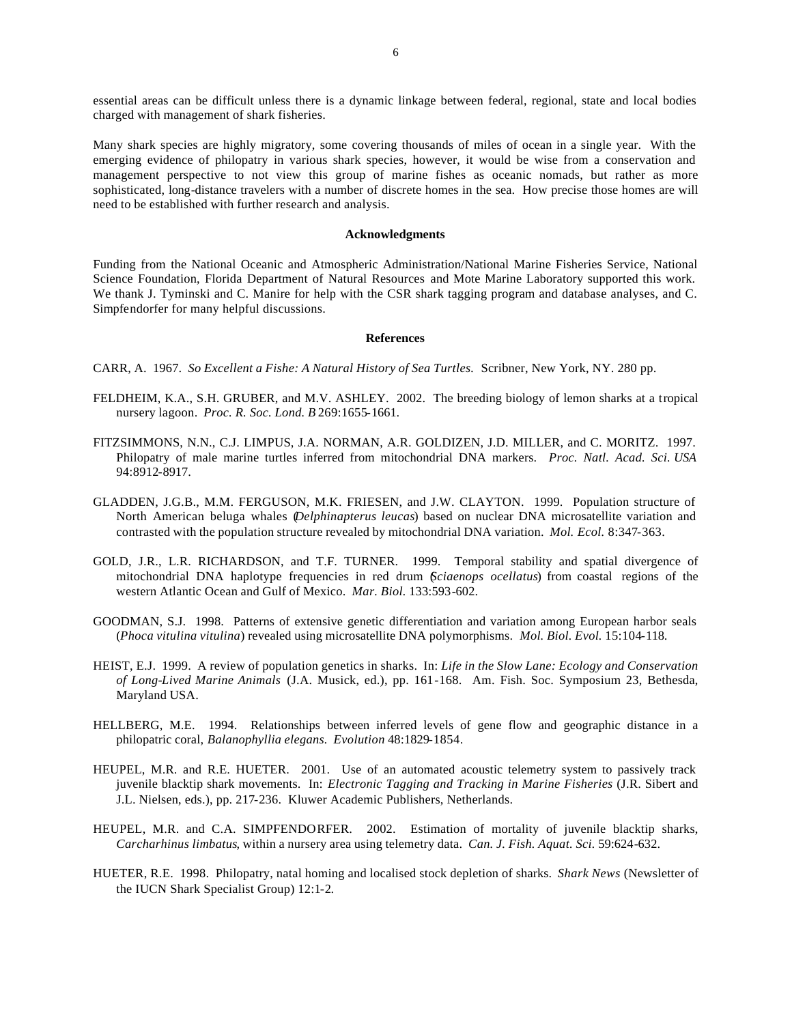essential areas can be difficult unless there is a dynamic linkage between federal, regional, state and local bodies charged with management of shark fisheries.

Many shark species are highly migratory, some covering thousands of miles of ocean in a single year. With the emerging evidence of philopatry in various shark species, however, it would be wise from a conservation and management perspective to not view this group of marine fishes as oceanic nomads, but rather as more sophisticated, long-distance travelers with a number of discrete homes in the sea. How precise those homes are will need to be established with further research and analysis.

### **Acknowledgments**

Funding from the National Oceanic and Atmospheric Administration/National Marine Fisheries Service, National Science Foundation, Florida Department of Natural Resources and Mote Marine Laboratory supported this work. We thank J. Tyminski and C. Manire for help with the CSR shark tagging program and database analyses, and C. Simpfendorfer for many helpful discussions.

## **References**

- CARR, A. 1967. *So Excellent a Fishe: A Natural History of Sea Turtles.* Scribner, New York, NY. 280 pp.
- FELDHEIM, K.A., S.H. GRUBER, and M.V. ASHLEY. 2002. The breeding biology of lemon sharks at a tropical nursery lagoon. *Proc. R. Soc. Lond. B* 269:1655-1661.
- FITZSIMMONS, N.N., C.J. LIMPUS, J.A. NORMAN, A.R. GOLDIZEN, J.D. MILLER, and C. MORITZ. 1997. Philopatry of male marine turtles inferred from mitochondrial DNA markers. *Proc. Natl. Acad. Sci. USA*  94:8912-8917.
- GLADDEN, J.G.B., M.M. FERGUSON, M.K. FRIESEN, and J.W. CLAYTON. 1999. Population structure of North American beluga whales (*Delphinapterus leucas*) based on nuclear DNA microsatellite variation and contrasted with the population structure revealed by mitochondrial DNA variation. *Mol. Ecol.* 8:347-363.
- GOLD, J.R., L.R. RICHARDSON, and T.F. TURNER. 1999. Temporal stability and spatial divergence of mitochondrial DNA haplotype frequencies in red drum (*Sciaenops ocellatus*) from coastal regions of the western Atlantic Ocean and Gulf of Mexico. *Mar. Biol.* 133:593-602.
- GOODMAN, S.J. 1998. Patterns of extensive genetic differentiation and variation among European harbor seals (*Phoca vitulina vitulina*) revealed using microsatellite DNA polymorphisms. *Mol. Biol. Evol.* 15:104-118.
- HEIST, E.J. 1999. A review of population genetics in sharks. In: *Life in the Slow Lane: Ecology and Conservation of Long-Lived Marine Animals* (J.A. Musick, ed.), pp. 161-168. Am. Fish. Soc. Symposium 23, Bethesda, Maryland USA.
- HELLBERG, M.E. 1994. Relationships between inferred levels of gene flow and geographic distance in a philopatric coral, *Balanophyllia elegans. Evolution* 48:1829-1854.
- HEUPEL, M.R. and R.E. HUETER. 2001. Use of an automated acoustic telemetry system to passively track juvenile blacktip shark movements. In: *Electronic Tagging and Tracking in Marine Fisheries* (J.R. Sibert and J.L. Nielsen, eds.), pp. 217-236. Kluwer Academic Publishers, Netherlands.
- HEUPEL, M.R. and C.A. SIMPFENDORFER. 2002. Estimation of mortality of juvenile blacktip sharks, *Carcharhinus limbatus*, within a nursery area using telemetry data. *Can. J. Fish. Aquat. Sci.* 59:624-632.
- HUETER, R.E. 1998. Philopatry, natal homing and localised stock depletion of sharks. *Shark News* (Newsletter of the IUCN Shark Specialist Group) 12:1-2.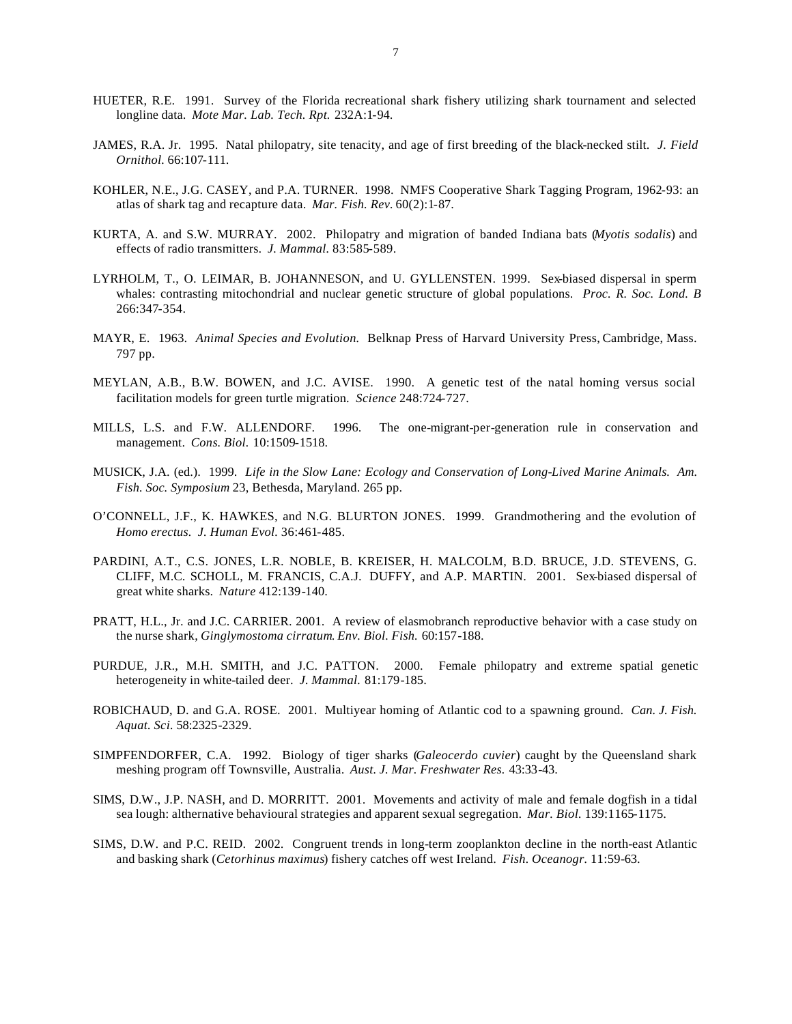- HUETER, R.E. 1991. Survey of the Florida recreational shark fishery utilizing shark tournament and selected longline data. *Mote Mar. Lab. Tech. Rpt.* 232A:1-94.
- JAMES, R.A. Jr. 1995. Natal philopatry, site tenacity, and age of first breeding of the black-necked stilt. *J. Field Ornithol.* 66:107-111.
- KOHLER, N.E., J.G. CASEY, and P.A. TURNER. 1998. NMFS Cooperative Shark Tagging Program, 1962-93: an atlas of shark tag and recapture data. *Mar. Fish. Rev.* 60(2):1-87.
- KURTA, A. and S.W. MURRAY. 2002. Philopatry and migration of banded Indiana bats (*Myotis sodalis*) and effects of radio transmitters. *J. Mammal.* 83:585-589.
- LYRHOLM, T., O. LEIMAR, B. JOHANNESON, and U. GYLLENSTEN. 1999. Sex-biased dispersal in sperm whales: contrasting mitochondrial and nuclear genetic structure of global populations. *Proc. R. Soc. Lond. B* 266:347-354.
- MAYR, E. 1963. *Animal Species and Evolution.* Belknap Press of Harvard University Press, Cambridge, Mass. 797 pp.
- MEYLAN, A.B., B.W. BOWEN, and J.C. AVISE. 1990. A genetic test of the natal homing versus social facilitation models for green turtle migration. *Science* 248:724-727.
- MILLS, L.S. and F.W. ALLENDORF. 1996. The one-migrant-per-generation rule in conservation and management. *Cons. Biol.* 10:1509-1518.
- MUSICK, J.A. (ed.). 1999. *Life in the Slow Lane: Ecology and Conservation of Long-Lived Marine Animals. Am. Fish. Soc. Symposium* 23, Bethesda, Maryland. 265 pp.
- O'CONNELL, J.F., K. HAWKES, and N.G. BLURTON JONES. 1999. Grandmothering and the evolution of *Homo erectus. J. Human Evol.* 36:461-485.
- PARDINI, A.T., C.S. JONES, L.R. NOBLE, B. KREISER, H. MALCOLM, B.D. BRUCE, J.D. STEVENS, G. CLIFF, M.C. SCHOLL, M. FRANCIS, C.A.J. DUFFY, and A.P. MARTIN. 2001. Sex-biased dispersal of great white sharks. *Nature* 412:139-140.
- PRATT, H.L., Jr. and J.C. CARRIER. 2001. A review of elasmobranch reproductive behavior with a case study on the nurse shark, *Ginglymostoma cirratum*. *Env. Biol. Fish.* 60:157-188.
- PURDUE, J.R., M.H. SMITH, and J.C. PATTON. 2000. Female philopatry and extreme spatial genetic heterogeneity in white-tailed deer. *J. Mammal.* 81:179-185.
- ROBICHAUD, D. and G.A. ROSE. 2001. Multiyear homing of Atlantic cod to a spawning ground. *Can. J. Fish. Aquat. Sci.* 58:2325-2329.
- SIMPFENDORFER, C.A. 1992. Biology of tiger sharks (*Galeocerdo cuvier*) caught by the Queensland shark meshing program off Townsville, Australia. *Aust. J. Mar. Freshwater Res.* 43:33-43.
- SIMS, D.W., J.P. NASH, and D. MORRITT. 2001. Movements and activity of male and female dogfish in a tidal sea lough: althernative behavioural strategies and apparent sexual segregation. *Mar. Biol.* 139:1165-1175.
- SIMS, D.W. and P.C. REID. 2002. Congruent trends in long-term zooplankton decline in the north-east Atlantic and basking shark (*Cetorhinus maximus*) fishery catches off west Ireland. *Fish. Oceanogr.* 11:59-63.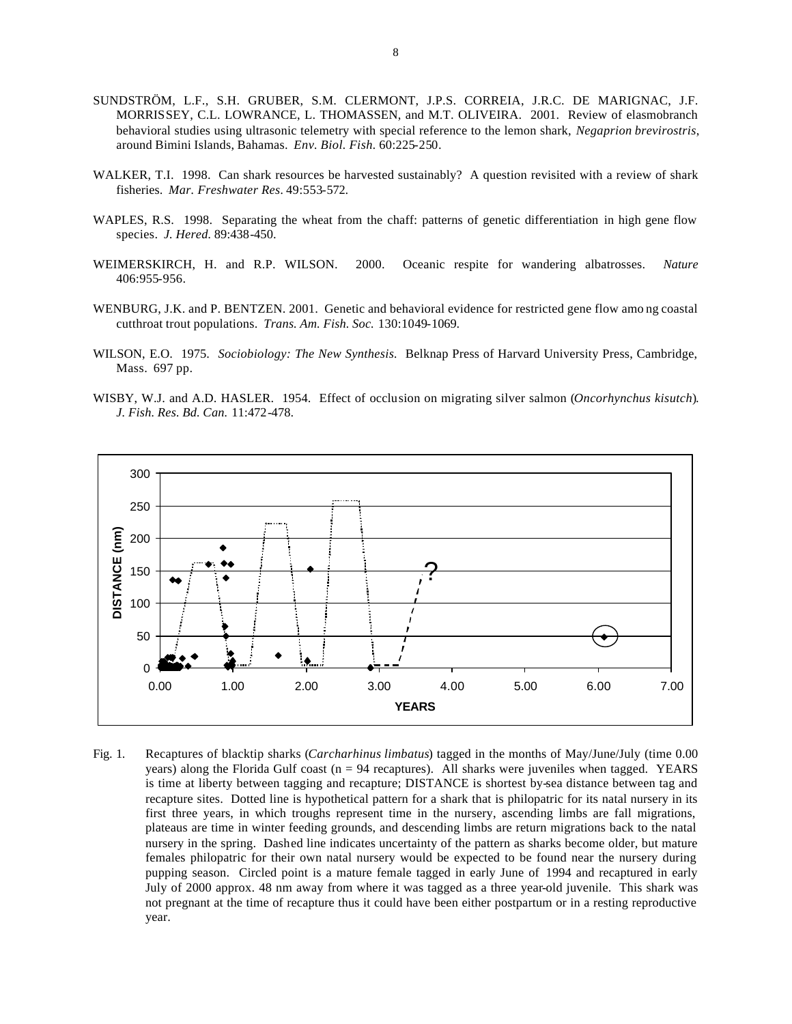- SUNDSTRÖM, L.F., S.H. GRUBER, S.M. CLERMONT, J.P.S. CORREIA, J.R.C. DE MARIGNAC, J.F. MORRISSEY, C.L. LOWRANCE, L. THOMASSEN, and M.T. OLIVEIRA. 2001. Review of elasmobranch behavioral studies using ultrasonic telemetry with special reference to the lemon shark, *Negaprion brevirostris*, around Bimini Islands, Bahamas. *Env. Biol. Fish.* 60:225-250.
- WALKER, T.I. 1998. Can shark resources be harvested sustainably? A question revisited with a review of shark fisheries. *Mar. Freshwater Res.* 49:553-572.
- WAPLES, R.S. 1998. Separating the wheat from the chaff: patterns of genetic differentiation in high gene flow species. *J. Hered.* 89:438-450.
- WEIMERSKIRCH, H. and R.P. WILSON. 2000. Oceanic respite for wandering albatrosses. *Nature*  406:955-956.
- WENBURG, J.K. and P. BENTZEN. 2001. Genetic and behavioral evidence for restricted gene flow amo ng coastal cutthroat trout populations. *Trans. Am. Fish. Soc.* 130:1049-1069.
- WILSON, E.O. 1975. *Sociobiology: The New Synthesis.* Belknap Press of Harvard University Press, Cambridge, Mass. 697 pp.
- WISBY, W.J. and A.D. HASLER. 1954. Effect of occlusion on migrating silver salmon (*Oncorhynchus kisutch*). *J. Fish. Res. Bd. Can.* 11:472-478.



Fig. 1. Recaptures of blacktip sharks (*Carcharhinus limbatus*) tagged in the months of May/June/July (time 0.00 years) along the Florida Gulf coast ( $n = 94$  recaptures). All sharks were juveniles when tagged. YEARS is time at liberty between tagging and recapture; DISTANCE is shortest by-sea distance between tag and recapture sites. Dotted line is hypothetical pattern for a shark that is philopatric for its natal nursery in its first three years, in which troughs represent time in the nursery, ascending limbs are fall migrations, plateaus are time in winter feeding grounds, and descending limbs are return migrations back to the natal nursery in the spring. Dashed line indicates uncertainty of the pattern as sharks become older, but mature females philopatric for their own natal nursery would be expected to be found near the nursery during pupping season. Circled point is a mature female tagged in early June of 1994 and recaptured in early July of 2000 approx. 48 nm away from where it was tagged as a three year-old juvenile. This shark was not pregnant at the time of recapture thus it could have been either postpartum or in a resting reproductive year.